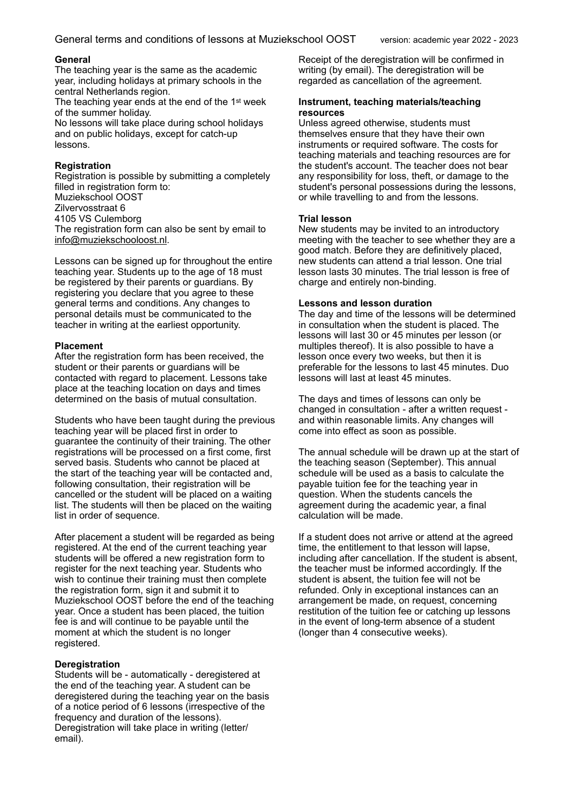## **General**

The teaching year is the same as the academic year, including holidays at primary schools in the central Netherlands region.

The teaching year ends at the end of the 1<sup>st</sup> week of the summer holiday.

No lessons will take place during school holidays and on public holidays, except for catch-up lessons.

## **Registration**

Registration is possible by submitting a completely filled in registration form to: Muziekschool OOST Zilvervosstraat 6 4105 VS Culemborg The registration form can also be sent by email to info@muziekschooloost.nl.

Lessons can be signed up for throughout the entire teaching year. Students up to the age of 18 must be registered by their parents or guardians. By registering you declare that you agree to these general terms and conditions. Any changes to personal details must be communicated to the teacher in writing at the earliest opportunity.

## **Placement**

After the registration form has been received, the student or their parents or guardians will be contacted with regard to placement. Lessons take place at the teaching location on days and times determined on the basis of mutual consultation.

Students who have been taught during the previous teaching year will be placed first in order to guarantee the continuity of their training. The other registrations will be processed on a first come, first served basis. Students who cannot be placed at the start of the teaching year will be contacted and, following consultation, their registration will be cancelled or the student will be placed on a waiting list. The students will then be placed on the waiting list in order of sequence.

After placement a student will be regarded as being registered. At the end of the current teaching year students will be offered a new registration form to register for the next teaching year. Students who wish to continue their training must then complete the registration form, sign it and submit it to Muziekschool OOST before the end of the teaching year. Once a student has been placed, the tuition fee is and will continue to be payable until the moment at which the student is no longer registered.

## **Deregistration**

Students will be - automatically - deregistered at the end of the teaching year. A student can be deregistered during the teaching year on the basis of a notice period of 6 lessons (irrespective of the frequency and duration of the lessons). Deregistration will take place in writing (letter/ email).

Receipt of the deregistration will be confirmed in writing (by email). The deregistration will be regarded as cancellation of the agreement.

#### **Instrument, teaching materials/teaching resources**

Unless agreed otherwise, students must themselves ensure that they have their own instruments or required software. The costs for teaching materials and teaching resources are for the student's account. The teacher does not bear any responsibility for loss, theft, or damage to the student's personal possessions during the lessons, or while travelling to and from the lessons.

## **Trial lesson**

New students may be invited to an introductory meeting with the teacher to see whether they are a good match. Before they are definitively placed, new students can attend a trial lesson. One trial lesson lasts 30 minutes. The trial lesson is free of charge and entirely non-binding.

## **Lessons and lesson duration**

The day and time of the lessons will be determined in consultation when the student is placed. The lessons will last 30 or 45 minutes per lesson (or multiples thereof). It is also possible to have a lesson once every two weeks, but then it is preferable for the lessons to last 45 minutes. Duo lessons will last at least 45 minutes.

The days and times of lessons can only be changed in consultation - after a written request and within reasonable limits. Any changes will come into effect as soon as possible.

The annual schedule will be drawn up at the start of the teaching season (September). This annual schedule will be used as a basis to calculate the payable tuition fee for the teaching year in question. When the students cancels the agreement during the academic year, a final calculation will be made.

If a student does not arrive or attend at the agreed time, the entitlement to that lesson will lapse, including after cancellation. If the student is absent, the teacher must be informed accordingly. If the student is absent, the tuition fee will not be refunded. Only in exceptional instances can an arrangement be made, on request, concerning restitution of the tuition fee or catching up lessons in the event of long-term absence of a student (longer than 4 consecutive weeks).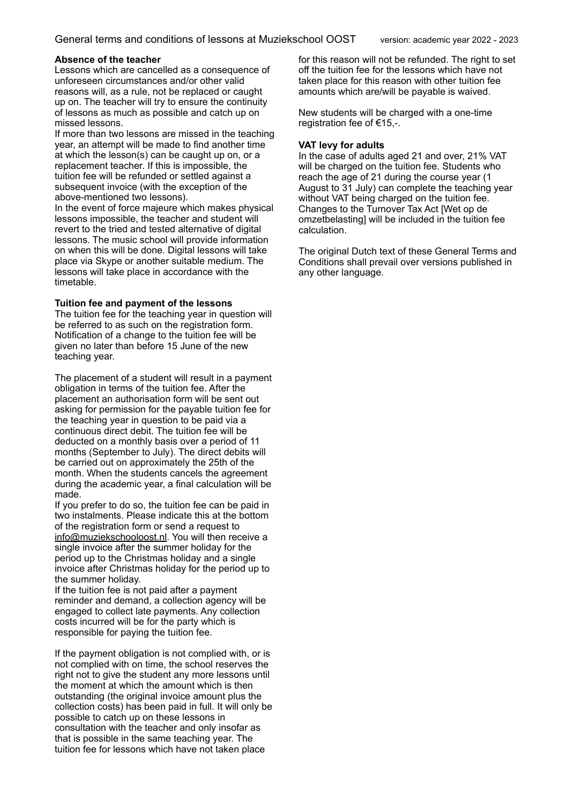## **Absence of the teacher**

Lessons which are cancelled as a consequence of unforeseen circumstances and/or other valid reasons will, as a rule, not be replaced or caught up on. The teacher will try to ensure the continuity of lessons as much as possible and catch up on missed lessons.

If more than two lessons are missed in the teaching year, an attempt will be made to find another time at which the lesson(s) can be caught up on, or a replacement teacher. If this is impossible, the tuition fee will be refunded or settled against a subsequent invoice (with the exception of the above-mentioned two lessons).

In the event of force majeure which makes physical lessons impossible, the teacher and student will revert to the tried and tested alternative of digital lessons. The music school will provide information on when this will be done. Digital lessons will take place via Skype or another suitable medium. The lessons will take place in accordance with the timetable.

## **Tuition fee and payment of the lessons**

The tuition fee for the teaching year in question will be referred to as such on the registration form. Notification of a change to the tuition fee will be given no later than before 15 June of the new teaching year.

The placement of a student will result in a payment obligation in terms of the tuition fee. After the placement an authorisation form will be sent out asking for permission for the payable tuition fee for the teaching year in question to be paid via a continuous direct debit. The tuition fee will be deducted on a monthly basis over a period of 11 months (September to July). The direct debits will be carried out on approximately the 25th of the month. When the students cancels the agreement during the academic year, a final calculation will be made.

If you prefer to do so, the tuition fee can be paid in two instalments. Please indicate this at the bottom of the registration form or send a request to info@muziekschooloost.nl. You will then receive a single invoice after the summer holiday for the period up to the Christmas holiday and a single invoice after Christmas holiday for the period up to the summer holiday.

If the tuition fee is not paid after a payment reminder and demand, a collection agency will be engaged to collect late payments. Any collection costs incurred will be for the party which is responsible for paying the tuition fee.

If the payment obligation is not complied with, or is not complied with on time, the school reserves the right not to give the student any more lessons until the moment at which the amount which is then outstanding (the original invoice amount plus the collection costs) has been paid in full. It will only be possible to catch up on these lessons in consultation with the teacher and only insofar as that is possible in the same teaching year. The tuition fee for lessons which have not taken place

for this reason will not be refunded. The right to set off the tuition fee for the lessons which have not taken place for this reason with other tuition fee amounts which are/will be payable is waived.

New students will be charged with a one-time registration fee of €15,-.

## **VAT levy for adults**

In the case of adults aged 21 and over, 21% VAT will be charged on the tuition fee. Students who reach the age of 21 during the course year (1 August to 31 July) can complete the teaching year without VAT being charged on the tuition fee. Changes to the Turnover Tax Act [Wet op de omzetbelasting] will be included in the tuition fee calculation.

The original Dutch text of these General Terms and Conditions shall prevail over versions published in any other language.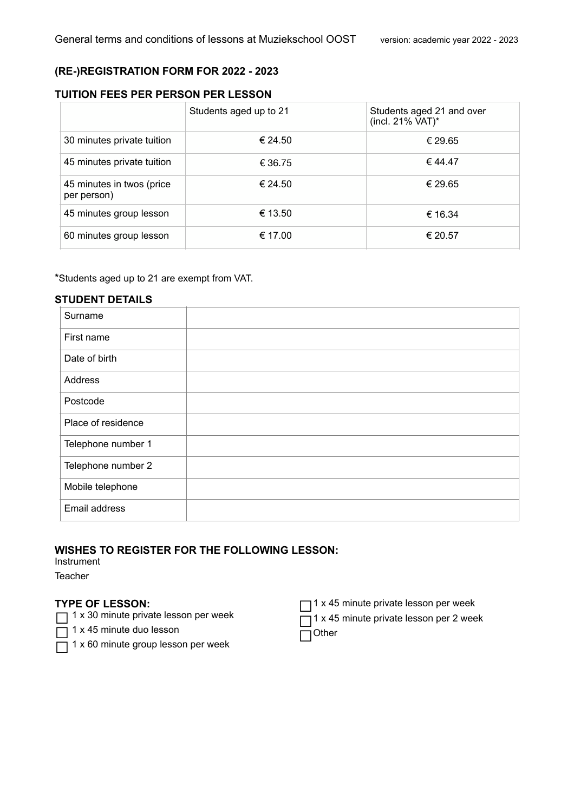# **(RE-)REGISTRATION FORM FOR 2022 - 2023**

# **TUITION FEES PER PERSON PER LESSON**

|                                          | Students aged up to 21 | Students aged 21 and over<br>(incl. 21% VAT)* |
|------------------------------------------|------------------------|-----------------------------------------------|
| 30 minutes private tuition               | € 24.50                | € 29.65                                       |
| 45 minutes private tuition               | € 36.75                | € 44.47                                       |
| 45 minutes in twos (price<br>per person) | € 24.50                | € 29.65                                       |
| 45 minutes group lesson                  | € 13.50                | € 16.34                                       |
| 60 minutes group lesson                  | € 17.00                | € 20.57                                       |

\*Students aged up to 21 are exempt from VAT.

## **STUDENT DETAILS**

| Surname            |  |
|--------------------|--|
| First name         |  |
| Date of birth      |  |
| Address            |  |
| Postcode           |  |
| Place of residence |  |
| Telephone number 1 |  |
| Telephone number 2 |  |
| Mobile telephone   |  |
| Email address      |  |

# **WISHES TO REGISTER FOR THE FOLLOWING LESSON:**

Instrument

**Teacher** 

# **TYPE OF LESSON:**

□ 1 x 30 minute private lesson per week

 $\overline{\Box}$  1 x 45 minute duo lesson

- $\overline{\Box}$  1 x 60 minute group lesson per week
- $\Box$ 1 x 45 minute private lesson per week
- $\Box$ 1 x 45 minute private lesson per 2 week

 $\Box$ Other